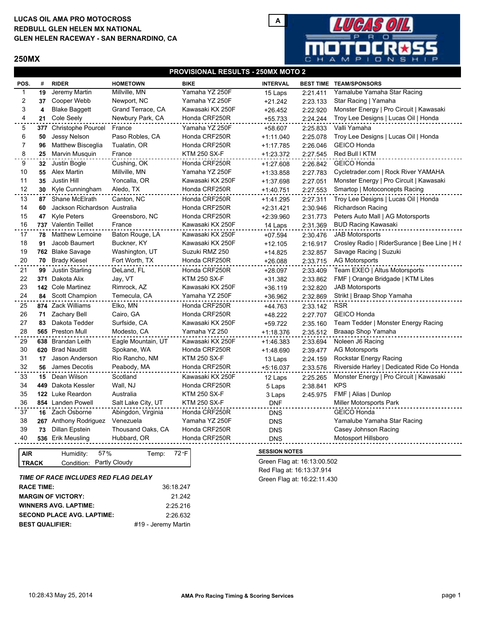## **LUCAS OIL AMA PRO MOTOCROSS GLEN HELEN RACEWAY - SAN BERNARDINO, CA REDBULL GLEN HELEN MX NATIONAL**

## **250MX**



### **PROVISIONAL RESULTS - 250MX MOTO 2**

| POS.           | #   | <b>RIDER</b>                 | <b>HOMETOWN</b>    | <b>BIKE</b>         | <b>INTERVAL</b> |          | <b>BEST TIME TEAM/SPONSORS</b>                |
|----------------|-----|------------------------------|--------------------|---------------------|-----------------|----------|-----------------------------------------------|
| 1              | 19  | Jeremy Martin                | Millville, MN      | Yamaha YZ 250F      | 15 Laps         | 2:21.411 | Yamalube Yamaha Star Racing                   |
| $\overline{c}$ | 37  | Cooper Webb                  | Newport, NC        | Yamaha YZ 250F      | $+21.242$       | 2:23.133 | Star Racing   Yamaha                          |
| 3              | 4   | <b>Blake Baggett</b>         | Grand Terrace, CA  | Kawasaki KX 250F    | $+26.452$       | 2:22.920 | Monster Energy   Pro Circuit   Kawasaki       |
| 4              | 21  | <b>Cole Seely</b>            | Newbury Park, CA   | Honda CRF250R       | $+55.733$       | 2:24.244 | Troy Lee Designs   Lucas Oil   Honda          |
| 5              | 377 | <b>Christophe Pourcel</b>    | France             | Yamaha YZ 250F      | +58.607         | 2:25.833 | Valli Yamaha                                  |
| 6              | 50  | Jessy Nelson                 | Paso Robles, CA    | Honda CRF250R       | $+1:11.040$     | 2:25.078 | Troy Lee Designs   Lucas Oil   Honda          |
| $\overline{7}$ | 96  | <b>Matthew Bisceglia</b>     | Tualatin, OR       | Honda CRF250R       | $+1:17.785$     | 2:26.046 | <b>GEICO Honda</b>                            |
| 8              | 25  | Marvin Musquin               | France             | <b>KTM 250 SX-F</b> | $+1:23.372$     | 2:27.545 | Red Bull I KTM                                |
| 9              | 32  | Justin Bogle                 | Cushing, OK        | Honda CRF250R       | $+1:27.608$     | 2:26.842 | <b>GEICO Honda</b>                            |
| 10             | 55  | <b>Alex Martin</b>           | Millville, MN      | Yamaha YZ 250F      | $+1:33.858$     | 2:27.783 | Cycletrader.com   Rock River YAMAHA           |
| 11             | 35  | Justin Hill                  | Yoncalla, OR       | Kawasaki KX 250F    | $+1:37.698$     | 2:27.051 | Monster Energy   Pro Circuit   Kawasaki       |
| 12             | 30  | Kyle Cunningham              | Aledo, TX          | Honda CRF250R       | $+1:40.751$     | 2:27.553 | Smartop   Motoconcepts Racing                 |
| 13             | 87  | Shane McElrath               | Canton, NC         | Honda CRF250R       | $+1:41.295$     | 2:27.311 | Troy Lee Designs   Lucas Oil   Honda          |
| 14             | 60  | Jackson Richardson Australia |                    | Honda CRF250R       | $+2:31.421$     | 2:30.946 | <b>Richardson Racing</b>                      |
| 15             | 47  | <b>Kyle Peters</b>           | Greensboro, NC     | Honda CRF250R       | $+2:39.960$     | 2:31.773 | Peters Auto Mall   AG Motorsports             |
| 16             |     | 737 Valentin Teillet         | France             | Kawasaki KX 250F    | 14 Laps         | 2:31.369 | <b>BUD Racing Kawasaki</b>                    |
| 17             | 78  | <b>Matthew Lemoine</b>       | Baton Rouge, LA    | Kawasaki KX 250F    | $+07.594$       | 2:30.476 | <b>JAB Motorsports</b>                        |
| 18             | 91  | Jacob Baumert                | Buckner, KY        | Kawasaki KX 250F    | $+12.105$       | 2:16.917 | Crosley Radio   RiderSurance   Bee Line   H ł |
| 19             |     | 762 Blake Savage             | Washington, UT     | Suzuki RMZ 250      | $+14.825$       | 2:32.857 | Savage Racing   Suzuki                        |
| 20             | 70  | <b>Brady Kiesel</b>          | Fort Worth, TX     | Honda CRF250R       | +26.088         | 2:33.715 | <b>AG Motorsports</b>                         |
| 21             | 99  | Justin Starling              | DeLand, FL         | Honda CRF250R       | $+28.097$       | 2:33.409 | Team EXEO   Altus Motorsports                 |
| 22             | 371 | Dakota Alix                  | Jay, VT            | <b>KTM 250 SX-F</b> | $+31.382$       | 2:33.862 | FMF   Orange Bridgade   KTM Lites             |
| 23             |     | 142 Cole Martinez            | Rimrock, AZ        | Kawasaki KX 250F    | $+36.119$       | 2:32.820 | <b>JAB Motorsports</b>                        |
| 24             |     | 84 Scott Champion            | Temecula, CA       | Yamaha YZ 250F      | +36.962         | 2:32.869 | Strikt   Braap Shop Yamaha                    |
| 25             |     | 874 Zack Williams            | Elko, MN           | Honda CRF250R       | +44.763         | 2:33.142 | <b>RSR</b>                                    |
| 26             | 71  | Zachary Bell                 | Cairo, GA          | Honda CRF250R       | +48.222         | 2:27.707 | <b>GEICO Honda</b>                            |
| 27             | 83  | Dakota Tedder                | Surfside, CA       | Kawasaki KX 250F    | +59.722         | 2:35.160 | Team Tedder   Monster Energy Racing           |
| 28             |     | 565 Preston Mull             | Modesto, CA        | Yamaha YZ 250       | $+1:18.376$     | 2:35.512 | Braaap Shop Yamaha                            |
| 29             |     | 638 Brandan Leith            | Eagle Mountain, UT | Kawasaki KX 250F    | $+1:46.383$     | 2:33.694 | Noleen J6 Racing                              |
| 30             |     | 620 Brad Nauditt             | Spokane, WA        | Honda CRF250R       | $+1:48.690$     | 2:39.477 | <b>AG Motorsports</b>                         |
| 31             | 17  | Jason Anderson               | Rio Rancho, NM     | <b>KTM 250 SX-F</b> | 13 Laps         | 2:24.159 | Rockstar Energy Racing                        |
| 32             |     | <b>56</b> James Decotis      | Peabody, MA        | Honda CRF250R       | $+5:16.037$     | 2:33.576 | Riverside Harley   Dedicated Ride Co Honda    |
| 33             |     | 15 Dean Wilson               | Scotland           | Kawasaki KX 250F    | 12 Laps         | 2:25.265 | Monster Energy   Pro Circuit   Kawasaki       |
| 34             |     | 449 Dakota Kessler           | Wall, NJ           | Honda CRF250R       | 5 Laps          | 2:38.841 | <b>KPS</b>                                    |
| 35             |     | 122 Luke Reardon             | Australia          | <b>KTM 250 SX-F</b> | 3 Laps          | 2:45.975 | FMF   Alias   Dunlop                          |
| 36             |     | 854 Landen Powell            | Salt Lake City, UT | <b>KTM 250 SX-F</b> | <b>DNF</b>      |          | Miller Motorsports Park                       |
| 37             |     | 16 Zach Osborne              | Abingdon, Virginia | Honda CRF250R       | <b>DNS</b>      |          | <b>GEICO Honda</b>                            |
| 38             |     | 267 Anthony Rodriguez        | Venezuela          | Yamaha YZ 250F      | <b>DNS</b>      |          | Yamalube Yamaha Star Racing                   |
| 39             | 73  | Dillan Epstein               | Thousand Oaks, CA  | Honda CRF250R       | <b>DNS</b>      |          | Casey Johnson Racing                          |
| 40             |     | 536 Erik Meusling            | Hubbard, OR        | Honda CRF250R       | <b>DNS</b>      |          | Motosport Hillsboro                           |
|                |     |                              |                    |                     |                 |          |                                               |

| AIR          | Humidity: | 57%                      | Temp: $72 \cdot F$ |  |
|--------------|-----------|--------------------------|--------------------|--|
| <b>TRACK</b> |           | Condition: Partly Cloudy |                    |  |

#### **WINNERS AVG. LAPTIME: SECOND PLACE AVG. LAPTIME: MARGIN OF VICTORY: RACE TIME:** *TIME OF RACE INCLUDES RED FLAG DELAY* 36:18.247 2:25.216 2:26.632 21.242

**BEST QUALIFIER:** #19 - Jeremy Martin

### **SESSION NOTES**

Green Flag at: 16:13:00.502 Red Flag at: 16:13:37.914 Green Flag at: 16:22:11.430